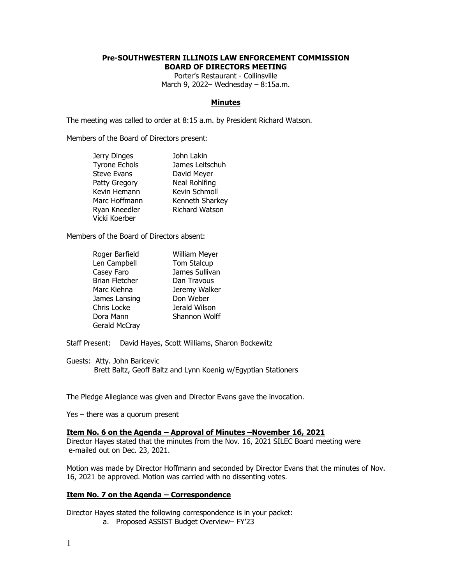## **Pre-SOUTHWESTERN ILLINOIS LAW ENFORCEMENT COMMISSION BOARD OF DIRECTORS MEETING**

Porter's Restaurant - Collinsville March 9, 2022– Wednesday – 8:15a.m.

#### **Minutes**

The meeting was called to order at 8:15 a.m. by President Richard Watson.

Members of the Board of Directors present:

| Jerry Dinges         | John Lakin      |
|----------------------|-----------------|
| <b>Tyrone Echols</b> | James Leitschuh |
| <b>Steve Evans</b>   | David Meyer     |
| Patty Gregory        | Neal Rohlfing   |
| Kevin Hemann         | Kevin Schmoll   |
| Marc Hoffmann        | Kenneth Sharkey |
| Ryan Kneedler        | Richard Watson  |
| Vicki Koerber        |                 |

Members of the Board of Directors absent:

| Roger Barfield        | William Meyer  |
|-----------------------|----------------|
| Len Campbell          | Tom Stalcup    |
| Casey Faro            | James Sullivan |
| <b>Brian Fletcher</b> | Dan Travous    |
| Marc Kiehna           | Jeremy Walker  |
| James Lansing         | Don Weber      |
| Chris Locke           | Jerald Wilson  |
| Dora Mann             | Shannon Wolff  |
| Gerald McCray         |                |

Staff Present: David Hayes, Scott Williams, Sharon Bockewitz

Guests: Atty. John Baricevic Brett Baltz, Geoff Baltz and Lynn Koenig w/Egyptian Stationers

The Pledge Allegiance was given and Director Evans gave the invocation.

Yes – there was a quorum present

## **Item No. 6 on the Agenda – Approval of Minutes –November 16, 2021**

Director Hayes stated that the minutes from the Nov. 16, 2021 SILEC Board meeting were e-mailed out on Dec. 23, 2021.

Motion was made by Director Hoffmann and seconded by Director Evans that the minutes of Nov. 16, 2021 be approved. Motion was carried with no dissenting votes.

#### **Item No. 7 on the Agenda – Correspondence**

Director Hayes stated the following correspondence is in your packet:

a. Proposed ASSIST Budget Overview– FY'23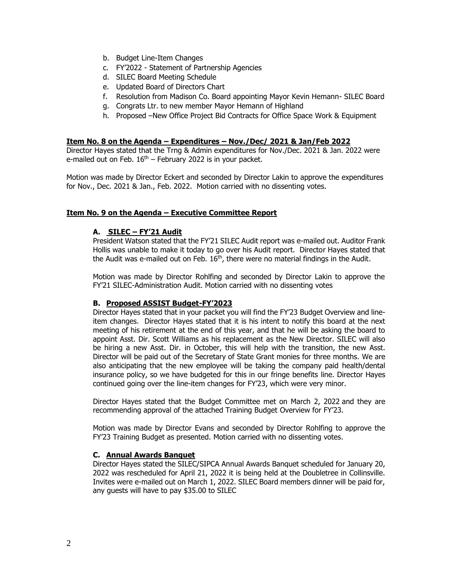- b. Budget Line-Item Changes
- c. FY'2022 Statement of Partnership Agencies
- d. SILEC Board Meeting Schedule
- e. Updated Board of Directors Chart
- f. Resolution from Madison Co. Board appointing Mayor Kevin Hemann- SILEC Board
- g. Congrats Ltr. to new member Mayor Hemann of Highland
- h. Proposed –New Office Project Bid Contracts for Office Space Work & Equipment

### **Item No. 8 on the Agenda – Expenditures – Nov./Dec/ 2021 & Jan/Feb 2022**

Director Hayes stated that the Trng & Admin expenditures for Nov./Dec. 2021 & Jan. 2022 were e-mailed out on Feb.  $16<sup>th</sup>$  – February 2022 is in your packet.

Motion was made by Director Eckert and seconded by Director Lakin to approve the expenditures for Nov., Dec. 2021 & Jan., Feb. 2022. Motion carried with no dissenting votes.

## **Item No. 9 on the Agenda – Executive Committee Report**

## **A. SILEC – FY'21 Audit**

President Watson stated that the FY'21 SILEC Audit report was e-mailed out. Auditor Frank Hollis was unable to make it today to go over his Audit report. Director Hayes stated that the Audit was e-mailed out on Feb. 16<sup>th</sup>, there were no material findings in the Audit.

Motion was made by Director Rohlfing and seconded by Director Lakin to approve the FY'21 SILEC-Administration Audit. Motion carried with no dissenting votes

## **B. Proposed ASSIST Budget-FY'2023**

Director Hayes stated that in your packet you will find the FY'23 Budget Overview and lineitem changes. Director Hayes stated that it is his intent to notify this board at the next meeting of his retirement at the end of this year, and that he will be asking the board to appoint Asst. Dir. Scott Williams as his replacement as the New Director. SILEC will also be hiring a new Asst. Dir. in October, this will help with the transition, the new Asst. Director will be paid out of the Secretary of State Grant monies for three months. We are also anticipating that the new employee will be taking the company paid health/dental insurance policy, so we have budgeted for this in our fringe benefits line. Director Hayes continued going over the line-item changes for FY'23, which were very minor.

Director Hayes stated that the Budget Committee met on March 2, 2022 and they are recommending approval of the attached Training Budget Overview for FY'23.

Motion was made by Director Evans and seconded by Director Rohlfing to approve the FY'23 Training Budget as presented. Motion carried with no dissenting votes.

## **C. Annual Awards Banquet**

Director Hayes stated the SILEC/SIPCA Annual Awards Banquet scheduled for January 20, 2022 was rescheduled for April 21, 2022 it is being held at the Doubletree in Collinsville. Invites were e-mailed out on March 1, 2022. SILEC Board members dinner will be paid for, any guests will have to pay \$35.00 to SILEC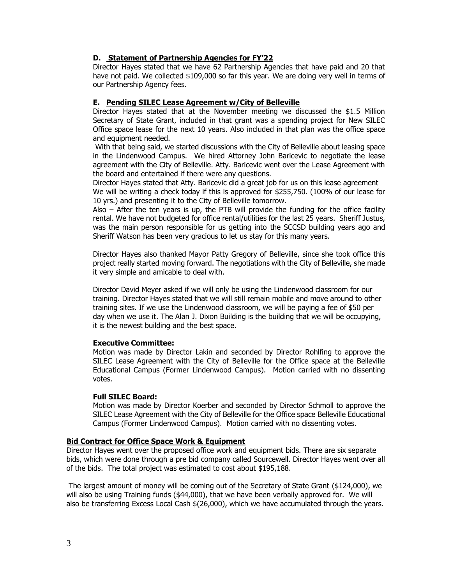## **D. Statement of Partnership Agencies for FY'22**

Director Hayes stated that we have 62 Partnership Agencies that have paid and 20 that have not paid. We collected \$109,000 so far this year. We are doing very well in terms of our Partnership Agency fees.

### **E. Pending SILEC Lease Agreement w/City of Belleville**

Director Hayes stated that at the November meeting we discussed the \$1.5 Million Secretary of State Grant, included in that grant was a spending project for New SILEC Office space lease for the next 10 years. Also included in that plan was the office space and equipment needed.

With that being said, we started discussions with the City of Belleville about leasing space in the Lindenwood Campus. We hired Attorney John Baricevic to negotiate the lease agreement with the City of Belleville. Atty. Baricevic went over the Lease Agreement with the board and entertained if there were any questions.

Director Hayes stated that Atty. Baricevic did a great job for us on this lease agreement We will be writing a check today if this is approved for \$255,750. (100% of our lease for 10 yrs.) and presenting it to the City of Belleville tomorrow.

Also – After the ten years is up, the PTB will provide the funding for the office facility rental. We have not budgeted for office rental/utilities for the last 25 years. Sheriff Justus, was the main person responsible for us getting into the SCCSD building years ago and Sheriff Watson has been very gracious to let us stay for this many years.

Director Hayes also thanked Mayor Patty Gregory of Belleville, since she took office this project really started moving forward. The negotiations with the City of Belleville, she made it very simple and amicable to deal with.

Director David Meyer asked if we will only be using the Lindenwood classroom for our training. Director Hayes stated that we will still remain mobile and move around to other training sites. If we use the Lindenwood classroom, we will be paying a fee of \$50 per day when we use it. The Alan J. Dixon Building is the building that we will be occupying, it is the newest building and the best space.

#### **Executive Committee:**

Motion was made by Director Lakin and seconded by Director Rohlfing to approve the SILEC Lease Agreement with the City of Belleville for the Office space at the Belleville Educational Campus (Former Lindenwood Campus). Motion carried with no dissenting votes.

## **Full SILEC Board:**

Motion was made by Director Koerber and seconded by Director Schmoll to approve the SILEC Lease Agreement with the City of Belleville for the Office space Belleville Educational Campus (Former Lindenwood Campus). Motion carried with no dissenting votes.

## **Bid Contract for Office Space Work & Equipment**

Director Hayes went over the proposed office work and equipment bids. There are six separate bids, which were done through a pre bid company called Sourcewell. Director Hayes went over all of the bids. The total project was estimated to cost about \$195,188.

The largest amount of money will be coming out of the Secretary of State Grant (\$124,000), we will also be using Training funds (\$44,000), that we have been verbally approved for. We will also be transferring Excess Local Cash \$(26,000), which we have accumulated through the years.